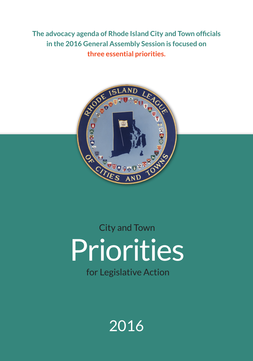**The advocacy agenda of Rhode Island City and Town officials in the 2016 General Assembly Session is focused on three essential priorities.**



# Priorities City and Town for Legislative Action

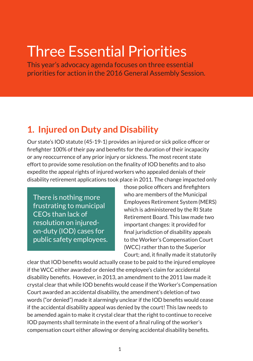## Three Essential Priorities

This year's advocacy agenda focuses on three essential priorities for action in the 2016 General Assembly Session.

#### **1. Injured on Duty and Disability**

Our state's IOD statute (45-19-1) provides an injured or sick police officer or firefighter 100% of their pay and benefits for the duration of their incapacity or any reoccurrence of any prior injury or sickness. The most recent state effort to provide some resolution on the finality of IOD benefits and to also expedite the appeal rights of injured workers who appealed denials of their disability retirement applications took place in 2011. The change impacted only

There is nothing more frustrating to municipal CEOs than lack of resolution on injuredon-duty (IOD) cases for public safety employees. those police officers and firefighters who are members of the Municipal Employees Retirement System (MERS) which is administered by the RI State Retirement Board. This law made two important changes: it provided for final jurisdiction of disability appeals to the Worker's Compensation Court (WCC) rather than to the Superior Court; and, it finally made it statutorily

clear that IOD benefits would actually cease to be paid to the injured employee if the WCC either awarded or denied the employee's claim for accidental disability benefits. However, in 2013, an amendment to the 2011 law made it crystal clear that while IOD benefits would cease if the Worker's Compensation Court awarded an accidental disability, the amendment's deletion of two words ("or denied") made it alarmingly unclear if the IOD benefits would cease if the accidental disability appeal was denied by the court! This law needs to be amended again to make it crystal clear that the right to continue to receive IOD payments shall terminate in the event of a final ruling of the worker's compensation court either allowing or denying accidental disability benefits.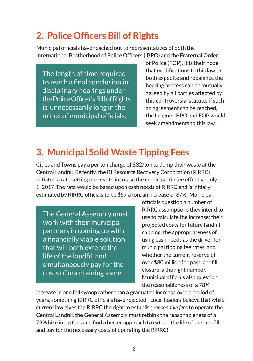#### **2. Police Officers Bill of Rights**

Municipal officials have reached out to representatives of both the International Brotherhood of Police Officers (IBPO) and the Fraternal Order

The length of time required to reach a final conclusion in disciplinary hearings under the Police Officer's Bill of Rights is unnecessarily long in the minds of municipal officials.

of Police (FOP). It is their hope that modifications to this law to both expedite and rebalance the hearing process can be mutually agreed by all parties affected by this controversial statute. If such an agreement can be reached, the League, IBPO and FOP would seek amendments to this law!

### **3. Municipal Solid Waste Tipping Fees**

Cities and Towns pay a per ton charge of \$32/ton to dump their waste at the Central Landfill. Recently, the RI Resource Recovery Corporation (RIRRC) initiated a rate setting process to increase the municipal tip fee effective July 1, 2017. The rate would be based upon cash needs of RIRRC and is initially estimated by RIRRC officials to be \$57 a ton, an increase of 87*%*! Municipal

The General Assembly must work with their municipal partners in coming up with a financially viable solution that will both extend the life of the landfill and simultaneously pay for the costs of maintaining same.

officials question a number of RIRRC assumptions they intend to use to calculate the increase; their projected costs for future landfill capping, the appropriateness of using cash needs as the driver for municipal tipping fee rates, and whether the current reserve of over \$80 million for post landfill closure is the right number. Municipal officials also question the reasonableness of a 78%

increase in one fell swoop rather than a graduated increase over a period of years, something RIRRC officials have rejected! Local leaders believe that while current law gives the RIRRC the right to establish *reasonable fees* to operate the Central Landfill, the General Assembly must rethink the reasonableness of a 78% hike in tip fees and find a better approach to extend the life of the landfill and pay for the necessary costs of operating the RIRRC!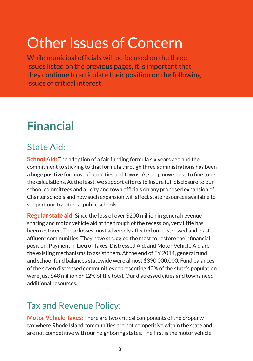## Other Issues of Concern

While municipal officials will be focused on the three issues listed on the previous pages, it is important that they continue to articulate their position on the following issues of critical interest

### **Financial**

#### State Aid:

**School Aid:** The adoption of a fair funding formula six years ago and the commitment to sticking to that formula through three administrations has been a huge positive for most of our cities and towns. A group now seeks to fine tune the calculations. At the least, we support efforts to insure full disclosure to our school committees and all city and town officials on any proposed expansion of Charter schools and how such expansion will affect state resources available to support our traditional public schools.

**Regular state aid:** Since the loss of over \$200 million in general revenue sharing and motor vehicle aid at the trough of the recession, very little has been restored. These losses most adversely affected our distressed and least affluent communities. They have struggled the most to restore their financial position. Payment in Lieu of Taxes, Distressed Aid, and Motor Vehicle Aid are the existing mechanisms to assist them. At the end of FY 2014, general fund and school fund balances statewide were almost \$390,000,000. Fund balances of the seven distressed communities representing 40% of the state's population were just \$48 million or 12% of the total. Our distressed cities and towns need additional resources.

#### Tax and Revenue Policy:

**Motor Vehicle Taxes:** There are two critical components of the property tax where Rhode Island communities are not competitive within the state and are not competitive with our neighboring states. The first is the motor vehicle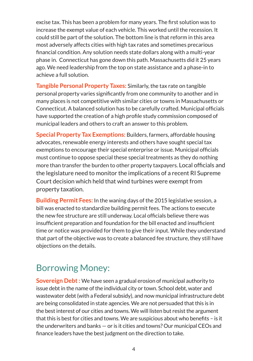excise tax. This has been a problem for many years. The first solution was to increase the exempt value of each vehicle. This worked until the recession. It could still be part of the solution. The bottom line is that reform in this area most adversely affects cities with high tax rates and sometimes precarious financial condition. Any solution needs state dollars along with a multi-year phase in. Connecticut has gone down this path. Massachusetts did it 25 years ago. We need leadership from the top on state assistance and a phase-in to achieve a full solution.

**Tangible Personal Property Taxes:** Similarly, the tax rate on tangible personal property varies significantly from one community to another and in many places is not competitive with similar cities or towns in Massachusetts or Connecticut. A balanced solution has to be carefully crafted. Municipal officials have supported the creation of a high profile study commission composed of municipal leaders and others to craft an answer to this problem.

**Special Property Tax Exemptions:** Builders, farmers, affordable housing advocates, renewable energy interests and others have sought special tax exemptions to encourage their special enterprise or issue. Municipal officials must continue to oppose special these special treatments as they do nothing more than transfer the burden to other property taxpayers. Local officials and the legislature need to monitor the implications of a recent RI Supreme Court decision which held that wind turbines were exempt from property taxation.

**Building Permit Fees:** In the waning days of the 2015 legislative session, a bill was enacted to standardize building permit fees. The actions to execute the new fee structure are still underway. Local officials believe there was insufficient preparation and foundation for the bill enacted and insufficient time or notice was provided for them to give their input. While they understand that part of the objective was to create a balanced fee structure, they still have objections on the details.

#### Borrowing Money:

**Sovereign Debt :** We have seen a gradual erosion of municipal authority to issue debt in the name of the individual city or town. School debt, water and wastewater debt (with a Federal subsidy), and now municipal infrastructure debt are being consolidated in state agencies. We are not persuaded that this is in the best interest of our cities and towns. We will listen but resist the argument that this is best for cities and towns. We are suspicious about who benefits – is it the underwriters and banks — or is it cities and towns? Our municipal CEOs and finance leaders have the best judgment on the direction to take.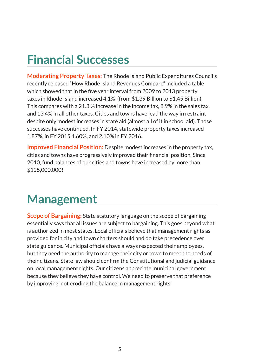### **Financial Successes**

**Moderating Property Taxes:** The Rhode Island Public Expenditures Council's recently released "How Rhode Island Revenues Compare" included a table which showed that in the five year interval from 2009 to 2013 property taxes in Rhode Island increased 4.1% (from \$1.39 Billion to \$1.45 Billion). This compares with a 21.3 % increase in the income tax, 8.9% in the sales tax, and 13.4% in all other taxes. Cities and towns have lead the way in restraint despite only modest increases in state aid (almost all of it in school aid). Those successes have continued. In FY 2014, statewide property taxes increased 1.87%, in FY 2015 1.60%, and 2.10% in FY 2016.

**Improved Financial Position:** Despite modest increases in the property tax, cities and towns have progressively improved their financial position. Since 2010, fund balances of our cities and towns have increased by more than \$125,000,000!

### **Management**

**Scope of Bargaining:** State statutory language on the scope of bargaining essentially says that all issues are subject to bargaining. This goes beyond what is authorized in most states. Local officials believe that management rights as provided for in city and town charters should and do take precedence over state guidance. Municipal officials have always respected their employees, but they need the authority to manage their city or town to meet the needs of their citizens. State law should confirm the Constitutional and judicial guidance on local management rights. Our citizens appreciate municipal government because they believe they have control. We need to preserve that preference by improving, not eroding the balance in management rights.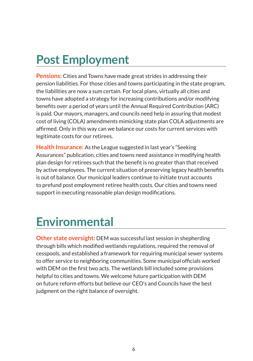## **Post Employment**

**Pensions:** Cities and Towns have made great strides in addressing their pension liabilities. For those cities and towns participating in the state program, the liabilities are now a sum certain. For local plans, virtually all cities and towns have adopted a strategy for increasing contributions and/or modifying benefits over a period of years until the Annual Required Contribution (ARC) is paid. Our mayors, managers, and councils need help in assuring that modest cost of living (COLA) amendments mimicking state plan COLA adjustments are affirmed. Only in this way can we balance our costs for current services with legitimate costs for our retirees.

**Health Insurance:** As the League suggested in last year's "Seeking Assurances" publication, cities and towns need assistance in modifying health plan design for retirees such that the benefit is no greater than that received by active employees. The current situation of preserving legacy health benefits is out of balance. Our municipal leaders continue to initiate trust accounts to prefund post employment retiree health costs. Our cities and towns need support in executing reasonable plan design modifications.

### **Environmental**

**Other state oversight:** DEM was successful last session in shepherding through bills which modified wetlands regulations, required the removal of cesspools, and established a framework for requiring municipal sewer systems to offer service to neighboring communities. Some municipal officials worked with DEM on the first two acts. The wetlands bill included some provisions helpful to cities and towns. We welcome future participation with DEM on future reform efforts but believe our CEO's and Councils have the best judgment on the right balance of oversight.